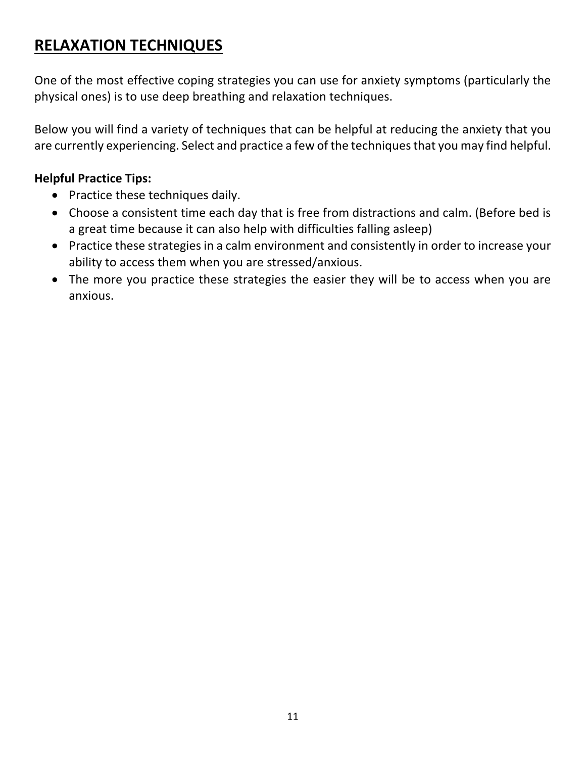# **RELAXATION TECHNIQUES**

 One of the most effective coping strategies you can use for anxiety symptoms (particularly the physical ones) is to use deep breathing and relaxation techniques.

 Below you will find a variety of techniques that can be helpful at reducing the anxiety that you are currently experiencing. Select and practice a few of the techniques that you may find helpful.

### **Helpful Practice Tips:**

- Practice these techniques daily.
- • Choose a consistent time each day that is free from distractions and calm. (Before bed is a great time because it can also help with difficulties falling asleep)
- • Practice these strategies in a calm environment and consistently in order to increase your ability to access them when you are stressed/anxious.
- • The more you practice these strategies the easier they will be to access when you are anxious.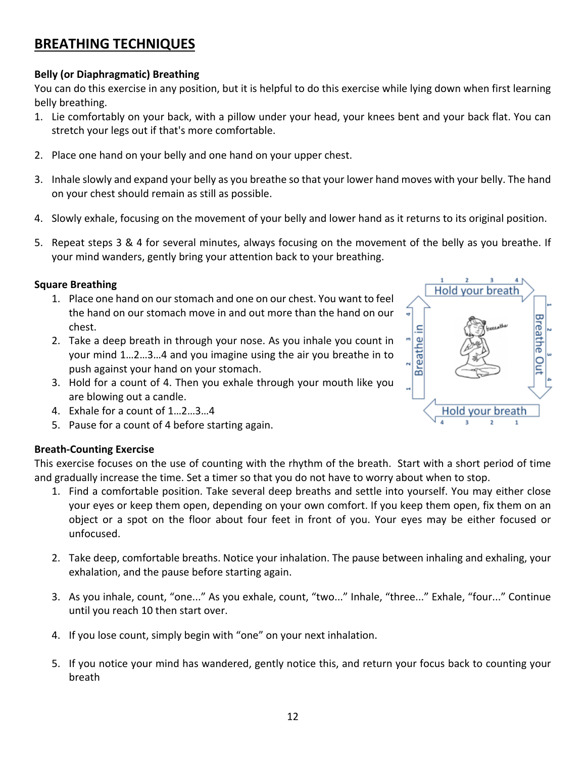### **BREATHING TECHNIQUES**

#### **Belly (or Diaphragmatic) Breathing**

You can do this exercise in any position, but it is helpful to do this exercise while lying down when first learning belly breathing.

- 1. Lie comfortably on your back, with a pillow under your head, your knees bent and your back flat. You can stretch your legs out if that's more comfortable.
- 2. Place one hand on your belly and one hand on your upper chest.
- 3. Inhale slowly and expand your belly as you breathe so that your lower hand moves with your belly. The hand on your chest should remain as still as possible.
- 4. Slowly exhale, focusing on the movement of your belly and lower hand as it returns to its original position.
- 5. Repeat steps 3 & 4 for several minutes, always focusing on the movement of the belly as you breathe. If your mind wanders, gently bring your attention back to your breathing.

#### **Square Breathing**

- 1. Place one hand on our stomach and one on our chest. You want to feel the hand on our stomach move in and out more than the hand on our chest.
- 2. Take a deep breath in through your nose. As you inhale you count in your mind 1…2…3…4 and you imagine using the air you breathe in to push against your hand on your stomach.
- 3. Hold for a count of 4. Then you exhale through your mouth like you are blowing out a candle.
- 4. Exhale for a count of 1…2…3…4
- 5. Pause for a count of 4 before starting again.

#### **Breath-Counting Exercise**

This exercise focuses on the use of counting with the rhythm of the breath. Start with a short period of time and gradually increase the time. Set a timer so that you do not have to worry about when to stop.

- 1. Find a comfortable position. Take several deep breaths and settle into yourself. You may either close your eyes or keep them open, depending on your own comfort. If you keep them open, fix them on an object or a spot on the floor about four feet in front of you. Your eyes may be either focused or unfocused.
- 2. Take deep, comfortable breaths. Notice your inhalation. The pause between inhaling and exhaling, your exhalation, and the pause before starting again.
- 3. As you inhale, count, "one..." As you exhale, count, "two..." Inhale, "three..." Exhale, "four..." Continue until you reach 10 then start over.
- 4. If you lose count, simply begin with "one" on your next inhalation.
- 5. If you notice your mind has wandered, gently notice this, and return your focus back to counting your breath

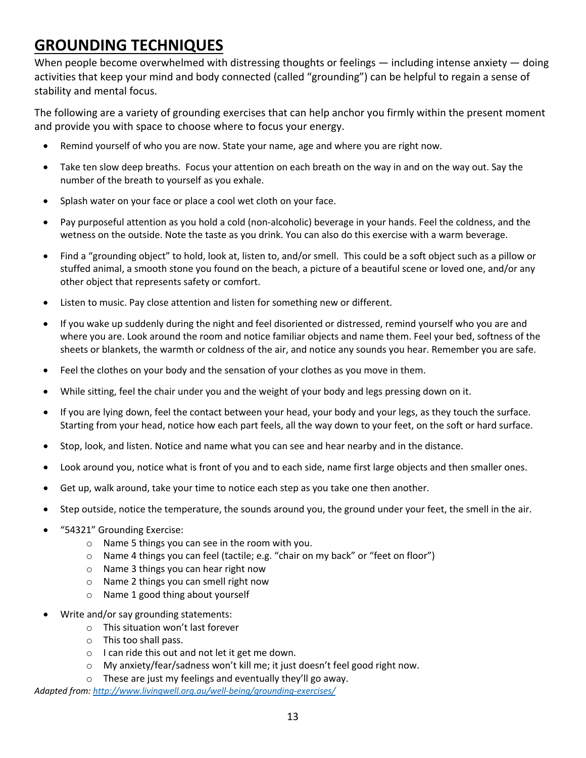# **GROUNDING TECHNIQUES**

When people become overwhelmed with distressing thoughts or feelings — including intense anxiety — doing activities that keep your mind and body connected (called "grounding") can be helpful to regain a sense of stability and mental focus.

 The following are a variety of grounding exercises that can help anchor you firmly within the present moment and provide you with space to choose where to focus your energy.

- Remind yourself of who you are now. State your name, age and where you are right now.
- • Take ten slow deep breaths. Focus your attention on each breath on the way in and on the way out. Say the number of the breath to yourself as you exhale.
- Splash water on your face or place a cool wet cloth on your face.
- • Pay purposeful attention as you hold a cold (non-alcoholic) beverage in your hands. Feel the coldness, and the wetness on the outside. Note the taste as you drink. You can also do this exercise with a warm beverage.
- • Find a "grounding object" to hold, look at, listen to, and/or smell. This could be a soft object such as a pillow or stuffed animal, a smooth stone you found on the beach, a picture of a beautiful scene or loved one, and/or any other object that represents safety or comfort.
- Listen to music. Pay close attention and listen for something new or different.
- • If you wake up suddenly during the night and feel disoriented or distressed, remind yourself who you are and where you are. Look around the room and notice familiar objects and name them. Feel your bed, softness of the sheets or blankets, the warmth or coldness of the air, and notice any sounds you hear. Remember you are safe.
- Feel the clothes on your body and the sensation of your clothes as you move in them.
- While sitting, feel the chair under you and the weight of your body and legs pressing down on it.
- Starting from your head, notice how each part feels, all the way down to your feet, on the soft or hard surface. • If you are lying down, feel the contact between your head, your body and your legs, as they touch the surface.
- Stop, look, and listen. Notice and name what you can see and hear nearby and in the distance.
- Look around you, notice what is front of you and to each side, name first large objects and then smaller ones.
- Get up, walk around, take your time to notice each step as you take one then another.
- Step outside, notice the temperature, the sounds around you, the ground under your feet, the smell in the air.
- "54321" Grounding Exercise:
	- o Name 5 things you can see in the room with you.
	- o Name 4 things you can feel (tactile; e.g. "chair on my back" or "feet on floor")
	- o Name 3 things you can hear right now
	- o Name 2 things you can smell right now
	- o Name 1 good thing about yourself
- • Write and/or say grounding statements:
	- o This situation won't last forever
	- o This too shall pass.
	- o I can ride this out and not let it get me down.
	- o My anxiety/fear/sadness won't kill me; it just doesn't feel good right now.

 $\circ$  These are just my feelings and eventually they'll go away.

 *Adapted from: [http://www.livingwell.org.au/well-being/grounding-exercises/](http://www.livingwell.org.au/well-being/grounding-exercises)*